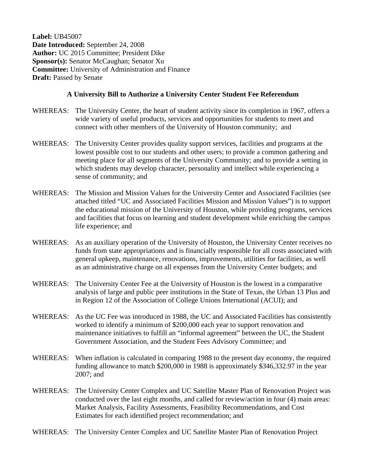**Label:** UB45007 **Date Introduced:** September 24, 2008 **Author:** UC 2015 Committee; President Dike **Sponsor(s):** Senator McCaughan; Senator Xu **Committee:** University of Administration and Finance **Draft: Passed by Senate** 

## **A University Bill to Authorize a University Center Student Fee Referendum**

- WHEREAS: The University Center, the heart of student activity since its completion in 1967, offers a wide variety of useful products, services and opportunities for students to meet and connect with other members of the University of Houston community; and
- WHEREAS: The University Center provides quality support services, facilities and programs at the lowest possible cost to our students and other users; to provide a common gathering and meeting place for all segments of the University Community; and to provide a setting in which students may develop character, personality and intellect while experiencing a sense of community; and
- WHEREAS: The Mission and Mission Values for the University Center and Associated Facilities (see attached titled "UC and Associated Facilities Mission and Mission Values") is to support the educational mission of the University of Houston, while providing programs, services and facilities that focus on learning and student development while enriching the campus life experience; and
- WHEREAS: As an auxiliary operation of the University of Houston, the University Center receives no funds from state appropriations and is financially responsible for all costs associated with general upkeep, maintenance, renovations, improvements, utilities for facilities, as well as an administrative charge on all expenses from the University Center budgets; and
- WHEREAS: The University Center Fee at the University of Houston is the lowest in a comparative analysis of large and public peer institutions in the State of Texas, the Urban 13 Plus and in Region 12 of the Association of College Unions International (ACUI); and
- WHEREAS: As the UC Fee was introduced in 1988, the UC and Associated Facilities has consistently worked to identify a minimum of \$200,000 each year to support renovation and maintenance initiatives to fulfill an "informal agreement" between the UC, the Student Government Association, and the Student Fees Advisory Committee; and
- WHEREAS: When inflation is calculated in comparing 1988 to the present day economy, the required funding allowance to match \$200,000 in 1988 is approximately \$346,332.97 in the year 2007; and
- WHEREAS: The University Center Complex and UC Satellite Master Plan of Renovation Project was conducted over the last eight months, and called for review/action in four (4) main areas: Market Analysis, Facility Assessments, Feasibility Recommendations, and Cost Estimates for each identified project recommendation; and
- WHEREAS: The University Center Complex and UC Satellite Master Plan of Renovation Project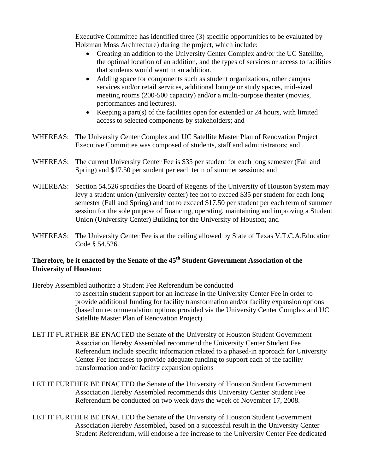Executive Committee has identified three (3) specific opportunities to be evaluated by Holzman Moss Architecture) during the project, which include:

- Creating an addition to the University Center Complex and/or the UC Satellite, the optimal location of an addition, and the types of services or access to facilities that students would want in an addition.
- Adding space for components such as student organizations, other campus services and/or retail services, additional lounge or study spaces, mid-sized meeting rooms (200-500 capacity) and/or a multi-purpose theater (movies, performances and lectures).
- Keeping a part(s) of the facilities open for extended or 24 hours, with limited access to selected components by stakeholders; and
- WHEREAS: The University Center Complex and UC Satellite Master Plan of Renovation Project Executive Committee was composed of students, staff and administrators; and
- WHEREAS: The current University Center Fee is \$35 per student for each long semester (Fall and Spring) and \$17.50 per student per each term of summer sessions; and
- WHEREAS: Section 54.526 specifies the Board of Regents of the University of Houston System may levy a student union (university center) fee not to exceed \$35 per student for each long semester (Fall and Spring) and not to exceed \$17.50 per student per each term of summer session for the sole purpose of financing, operating, maintaining and improving a Student Union (University Center) Building for the University of Houston; and
- WHEREAS: The University Center Fee is at the ceiling allowed by State of Texas V.T.C.A.Education Code § 54.526.

## **Therefore, be it enacted by the Senate of the 45th Student Government Association of the University of Houston:**

Hereby Assembled authorize a Student Fee Referendum be conducted to ascertain student support for an increase in the University Center Fee in order to provide additional funding for facility transformation and/or facility expansion options (based on recommendation options provided via the University Center Complex and UC Satellite Master Plan of Renovation Project).

- LET IT FURTHER BE ENACTED the Senate of the University of Houston Student Government Association Hereby Assembled recommend the University Center Student Fee Referendum include specific information related to a phased-in approach for University Center Fee increases to provide adequate funding to support each of the facility transformation and/or facility expansion options
- LET IT FURTHER BE ENACTED the Senate of the University of Houston Student Government Association Hereby Assembled recommends this University Center Student Fee Referendum be conducted on two week days the week of November 17, 2008.
- LET IT FURTHER BE ENACTED the Senate of the University of Houston Student Government Association Hereby Assembled, based on a successful result in the University Center Student Referendum, will endorse a fee increase to the University Center Fee dedicated